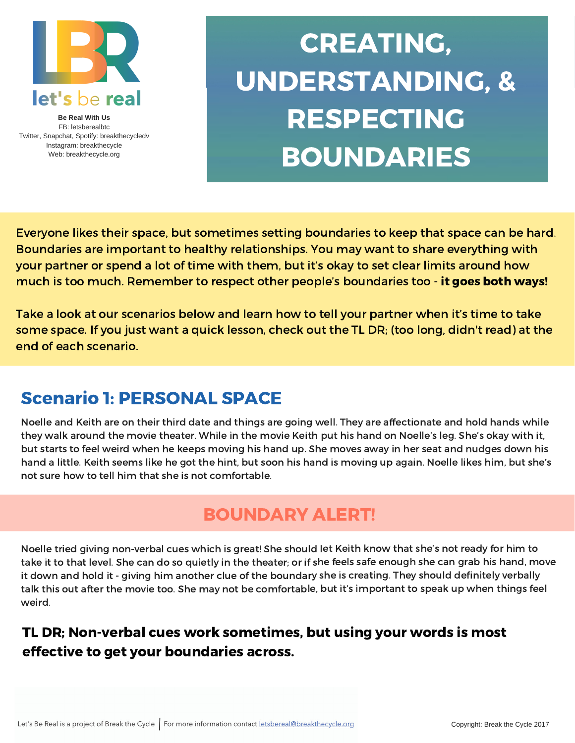

**Be Real With Us** FB: letsberealbtc Twitter, Snapchat, Spotify: breakthecycledv Instagram: breakthecycle Web: breakthecycle.org

# CREATING, UNDERSTANDING, & RESPECTING BOUNDARIES

Everyone likes their space, but sometimes setting boundaries to keep that space can be hard. Boundaries are important to healthy relationships. You may want to share everything with your partner or spend a lot of time with them, but it's okay to set clear limits around how much is too much. Remember to respect other people's boundaries too - it goes both ways!

Take a look at our scenarios below and learn how to tell your partner when it's time to take some space. If you just want a quick lesson, check out the TL DR; (too long, didn't read) at the end of each scenario.

## Scenario 1: PERSONAL SPACE

Noelle and Keith are on their third date and things are going well. They are affectionate and hold hands while they walk around the movie theater. While in the movie Keith put his hand on Noelle's leg. She's okay with it, but starts to feel weird when he keeps moving his hand up. She moves away in her seat and nudges down his hand a little. Keith seems like he got the hint, but soon his hand is moving up again. Noelle likes him, but she's not sure how to tell him that she is not comfortable.

#### BOUNDARY ALERT!

Noelle tried giving non-verbal cues which is great! She should let Keith know that she's not ready for him to take it to that level. She can do so quietly in the theater; or if she feels safe enough she can grab his hand, move it down and hold it - giving him another clue of the boundary she is creating. They should definitely verbally talk this out after the movie too. She may not be comfortable, but it's important to speak up when things feel weird.

#### TL DR; Non-verbal cues work sometimes, but using your words is most effective to get your boundaries across.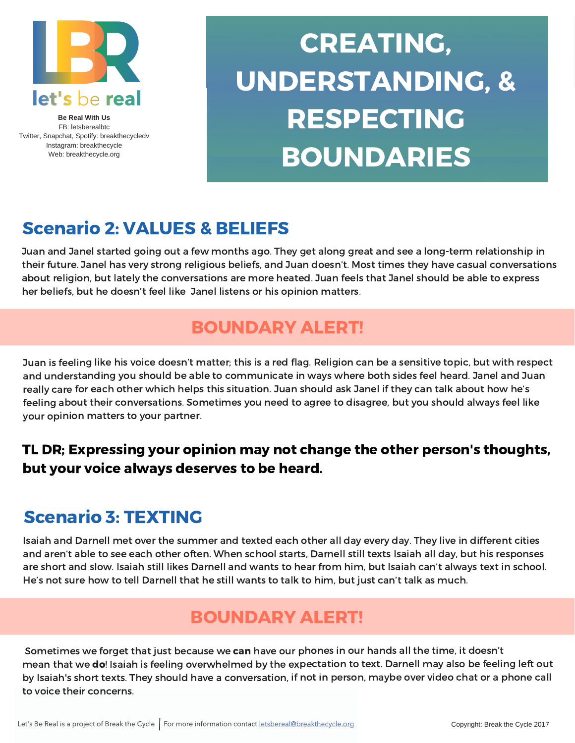

**Be Real With Us** FB: letsberealbtc Twitter, Snapchat, Spotify: breakthecycledv Instagram: breakthecycle Web: breakthecycle.org

# CREATING, UNDERSTANDING, & RESPECTING BOUNDARIES

## Scenario 2: VALUES & BELIEFS

Juan and Janel started going out a few months ago. They get along great and see a long-term relationship in their future. Janel has very strong religious beliefs, and Juan doesn't. Most times they have casual conversations about religion, but lately the conversations are more heated. Juan feels that Janel should be able to express her beliefs, but he doesn't feel like Janel listens or his opinion matters.

## BOUNDARY ALERT!

Juan is feeling like his voice doesn't matter; this is <sup>a</sup> red flag. Religion can be <sup>a</sup> sensitive topic, but with respect and understanding you should be able to communicate in ways where both sides feel heard. Janel and Juan really care for each other which helps this situation. Juan should ask Janel if they can talk about how he's feeling about their conversations. Sometimes you need to agree to disagree, but you should always feel like your opinion matters to your partner.

#### TL DR; Expressing your opinion may not change the other person's thoughts, but your voice always deserves to be heard.

## Scenario 3: TEXTING

Isaiah and Darnell met over the summer and texted each other all day every day. They live in different cities and aren't able to see each other often. When school starts, Darnell still texts Isaiah all day, but his responses are short and slow. Isaiah still likes Darnell and wants to hear from him, but Isaiah can't always text in school. He's not sure how to tell Darnell that he still wants to talk to him, but just can't talk as much.

## BOUNDARY ALERT!

Sometimes we forget that just because we can have our phones in our hands all the time, it doesn't mean that we do! Isaiah is feeling overwhelmed by the expectation to text. Darnell may also be feeling left out by Isaiah's short texts. They should have <sup>a</sup> conversation, if not in person, maybe over video chat or <sup>a</sup> phone call to voice their concerns.